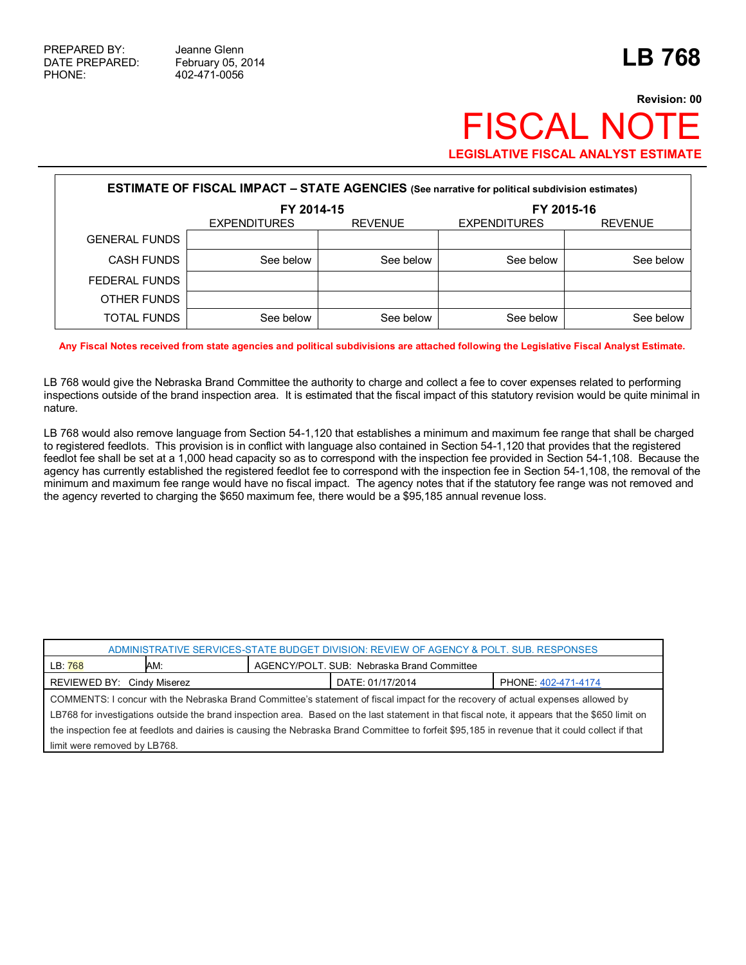## **Revision: 00 FISCAL NO LEGISLATIVE FISCAL ANALYST ESTIMATE**

| <b>ESTIMATE OF FISCAL IMPACT - STATE AGENCIES</b> (See narrative for political subdivision estimates) |                     |                |                     |                |  |
|-------------------------------------------------------------------------------------------------------|---------------------|----------------|---------------------|----------------|--|
|                                                                                                       | FY 2014-15          |                | FY 2015-16          |                |  |
|                                                                                                       | <b>EXPENDITURES</b> | <b>REVENUE</b> | <b>EXPENDITURES</b> | <b>REVENUE</b> |  |
| <b>GENERAL FUNDS</b>                                                                                  |                     |                |                     |                |  |
| <b>CASH FUNDS</b>                                                                                     | See below           | See below      | See below           | See below      |  |
| FEDERAL FUNDS                                                                                         |                     |                |                     |                |  |
| OTHER FUNDS                                                                                           |                     |                |                     |                |  |
| TOTAL FUNDS                                                                                           | See below           | See below      | See below           | See below      |  |

**Any Fiscal Notes received from state agencies and political subdivisions are attached following the Legislative Fiscal Analyst Estimate.**

LB 768 would give the Nebraska Brand Committee the authority to charge and collect a fee to cover expenses related to performing inspections outside of the brand inspection area. It is estimated that the fiscal impact of this statutory revision would be quite minimal in nature.

LB 768 would also remove language from Section 54-1,120 that establishes a minimum and maximum fee range that shall be charged to registered feedlots. This provision is in conflict with language also contained in Section 54-1,120 that provides that the registered feedlot fee shall be set at a 1,000 head capacity so as to correspond with the inspection fee provided in Section 54-1,108. Because the agency has currently established the registered feedlot fee to correspond with the inspection fee in Section 54-1,108, the removal of the minimum and maximum fee range would have no fiscal impact. The agency notes that if the statutory fee range was not removed and the agency reverted to charging the \$650 maximum fee, there would be a \$95,185 annual revenue loss.

| ADMINISTRATIVE SERVICES-STATE BUDGET DIVISION: REVIEW OF AGENCY & POLT. SUB. RESPONSES                                                          |     |                                            |                     |  |
|-------------------------------------------------------------------------------------------------------------------------------------------------|-----|--------------------------------------------|---------------------|--|
| LB: 768                                                                                                                                         | AM: | AGENCY/POLT, SUB: Nebraska Brand Committee |                     |  |
| REVIEWED BY: Cindy Miserez<br>DATE: 01/17/2014                                                                                                  |     |                                            | PHONE: 402-471-4174 |  |
| COMMENTS: I concur with the Nebraska Brand Committee's statement of fiscal impact for the recovery of actual expenses allowed by                |     |                                            |                     |  |
| LB768 for investigations outside the brand inspection area. Based on the last statement in that fiscal note, it appears that the \$650 limit on |     |                                            |                     |  |
| the inspection fee at feedlots and dairies is causing the Nebraska Brand Committee to forfeit \$95,185 in revenue that it could collect if that |     |                                            |                     |  |
| limit were removed by LB768.                                                                                                                    |     |                                            |                     |  |